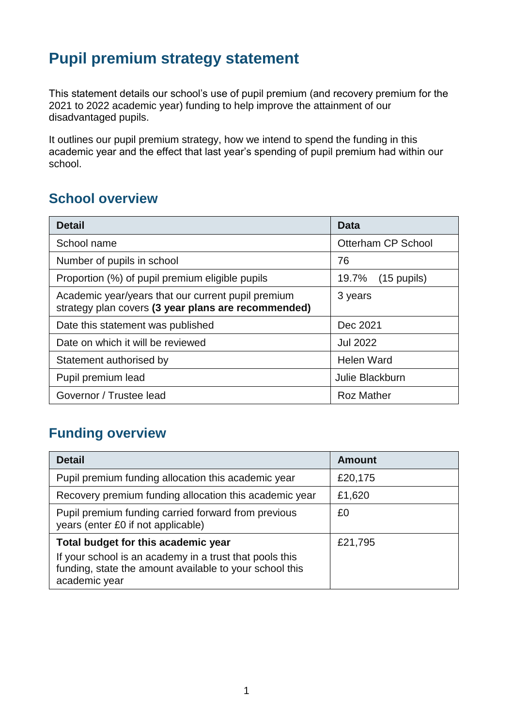# **Pupil premium strategy statement**

This statement details our school's use of pupil premium (and recovery premium for the 2021 to 2022 academic year) funding to help improve the attainment of our disadvantaged pupils.

It outlines our pupil premium strategy, how we intend to spend the funding in this academic year and the effect that last year's spending of pupil premium had within our school.

### **School overview**

| <b>Detail</b>                                                                                             | Data                           |
|-----------------------------------------------------------------------------------------------------------|--------------------------------|
| School name                                                                                               | Otterham CP School             |
| Number of pupils in school                                                                                | 76                             |
| Proportion (%) of pupil premium eligible pupils                                                           | 19.7%<br>$(15 \text{ pupils})$ |
| Academic year/years that our current pupil premium<br>strategy plan covers (3 year plans are recommended) | 3 years                        |
| Date this statement was published                                                                         | Dec 2021                       |
| Date on which it will be reviewed                                                                         | <b>Jul 2022</b>                |
| Statement authorised by                                                                                   | Helen Ward                     |
| Pupil premium lead                                                                                        | Julie Blackburn                |
| Governor / Trustee lead                                                                                   | <b>Roz Mather</b>              |

## **Funding overview**

| <b>Detail</b>                                                                                                                       | <b>Amount</b> |
|-------------------------------------------------------------------------------------------------------------------------------------|---------------|
| Pupil premium funding allocation this academic year                                                                                 | £20,175       |
| Recovery premium funding allocation this academic year                                                                              | £1,620        |
| Pupil premium funding carried forward from previous<br>years (enter £0 if not applicable)                                           | £0            |
| Total budget for this academic year                                                                                                 | £21,795       |
| If your school is an academy in a trust that pools this<br>funding, state the amount available to your school this<br>academic year |               |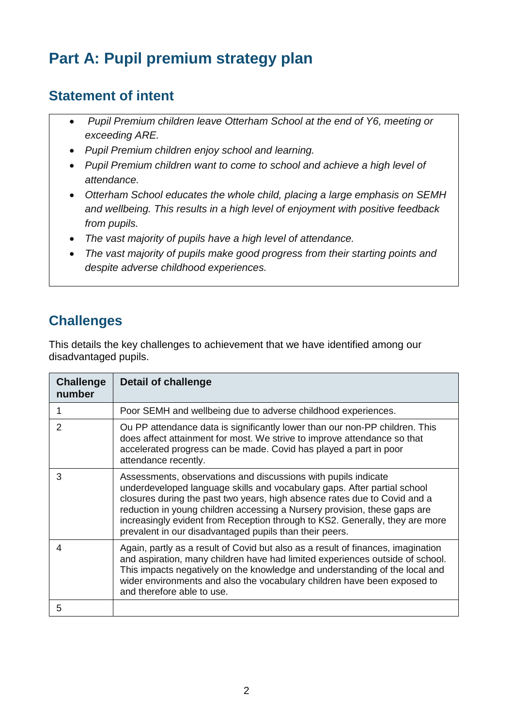# **Part A: Pupil premium strategy plan**

## **Statement of intent**

- *Pupil Premium children leave Otterham School at the end of Y6, meeting or exceeding ARE.*
- *Pupil Premium children enjoy school and learning.*
- *Pupil Premium children want to come to school and achieve a high level of attendance.*
- *Otterham School educates the whole child, placing a large emphasis on SEMH and wellbeing. This results in a high level of enjoyment with positive feedback from pupils.*
- *The vast majority of pupils have a high level of attendance.*
- *The vast majority of pupils make good progress from their starting points and despite adverse childhood experiences.*

## **Challenges**

This details the key challenges to achievement that we have identified among our disadvantaged pupils.

| <b>Challenge</b><br>number | <b>Detail of challenge</b>                                                                                                                                                                                                                                                                                                                                                                                                                      |
|----------------------------|-------------------------------------------------------------------------------------------------------------------------------------------------------------------------------------------------------------------------------------------------------------------------------------------------------------------------------------------------------------------------------------------------------------------------------------------------|
|                            | Poor SEMH and wellbeing due to adverse childhood experiences.                                                                                                                                                                                                                                                                                                                                                                                   |
| 2                          | Ou PP attendance data is significantly lower than our non-PP children. This<br>does affect attainment for most. We strive to improve attendance so that<br>accelerated progress can be made. Covid has played a part in poor<br>attendance recently.                                                                                                                                                                                            |
| 3                          | Assessments, observations and discussions with pupils indicate<br>underdeveloped language skills and vocabulary gaps. After partial school<br>closures during the past two years, high absence rates due to Covid and a<br>reduction in young children accessing a Nursery provision, these gaps are<br>increasingly evident from Reception through to KS2. Generally, they are more<br>prevalent in our disadvantaged pupils than their peers. |
| 4                          | Again, partly as a result of Covid but also as a result of finances, imagination<br>and aspiration, many children have had limited experiences outside of school.<br>This impacts negatively on the knowledge and understanding of the local and<br>wider environments and also the vocabulary children have been exposed to<br>and therefore able to use.                                                                                      |
| 5                          |                                                                                                                                                                                                                                                                                                                                                                                                                                                 |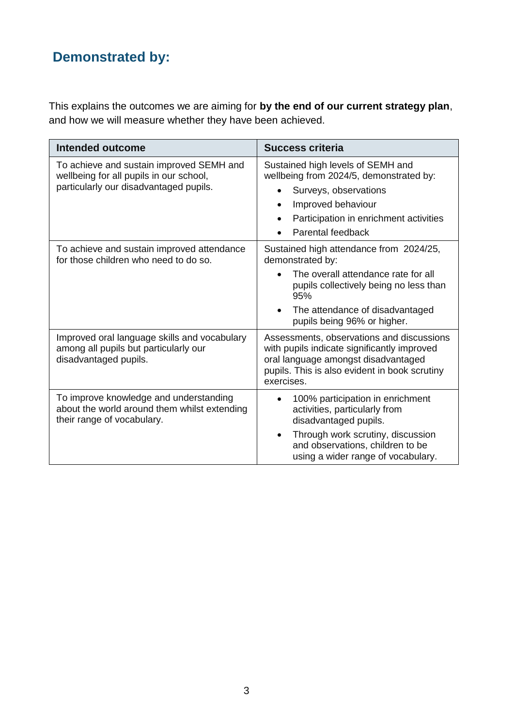# **Demonstrated by:**

This explains the outcomes we are aiming for **by the end of our current strategy plan**, and how we will measure whether they have been achieved.

| <b>Intended outcome</b>                                                                                                       | <b>Success criteria</b>                                                                                                                                                                                                           |  |
|-------------------------------------------------------------------------------------------------------------------------------|-----------------------------------------------------------------------------------------------------------------------------------------------------------------------------------------------------------------------------------|--|
| To achieve and sustain improved SEMH and<br>wellbeing for all pupils in our school,<br>particularly our disadvantaged pupils. | Sustained high levels of SEMH and<br>wellbeing from 2024/5, demonstrated by:<br>Surveys, observations<br>Improved behaviour<br>$\bullet$<br>Participation in enrichment activities<br>$\bullet$<br>Parental feedback<br>$\bullet$ |  |
| To achieve and sustain improved attendance<br>for those children who need to do so.                                           | Sustained high attendance from 2024/25,<br>demonstrated by:<br>The overall attendance rate for all<br>pupils collectively being no less than<br>95%<br>The attendance of disadvantaged<br>pupils being 96% or higher.             |  |
| Improved oral language skills and vocabulary<br>among all pupils but particularly our<br>disadvantaged pupils.                | Assessments, observations and discussions<br>with pupils indicate significantly improved<br>oral language amongst disadvantaged<br>pupils. This is also evident in book scrutiny<br>exercises.                                    |  |
| To improve knowledge and understanding<br>about the world around them whilst extending<br>their range of vocabulary.          | 100% participation in enrichment<br>activities, particularly from<br>disadvantaged pupils.<br>Through work scrutiny, discussion<br>and observations, children to be<br>using a wider range of vocabulary.                         |  |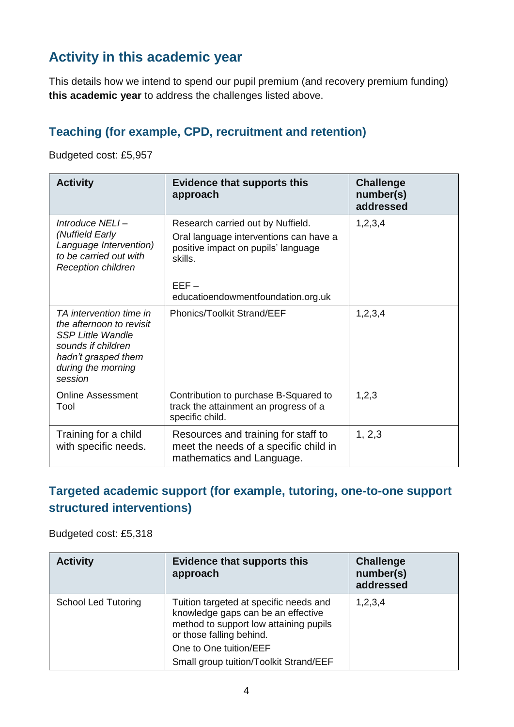## **Activity in this academic year**

This details how we intend to spend our pupil premium (and recovery premium funding) **this academic year** to address the challenges listed above.

#### **Teaching (for example, CPD, recruitment and retention)**

Budgeted cost: £5,957

| <b>Activity</b>                                                                                                                                               | <b>Evidence that supports this</b><br>approach                                                                                | <b>Challenge</b><br>number(s)<br>addressed |
|---------------------------------------------------------------------------------------------------------------------------------------------------------------|-------------------------------------------------------------------------------------------------------------------------------|--------------------------------------------|
| Introduce NELI-<br>(Nuffield Early<br>Language Intervention)<br>to be carried out with<br><b>Reception children</b>                                           | Research carried out by Nuffield.<br>Oral language interventions can have a<br>positive impact on pupils' language<br>skills. | 1,2,3,4                                    |
|                                                                                                                                                               | $EEF -$<br>educatioendowmentfoundation.org.uk                                                                                 |                                            |
| TA intervention time in<br>the afternoon to revisit<br><b>SSP Little Wandle</b><br>sounds if children<br>hadn't grasped them<br>during the morning<br>session | <b>Phonics/Toolkit Strand/EEF</b>                                                                                             | 1, 2, 3, 4                                 |
| Online Assessment<br>Tool                                                                                                                                     | Contribution to purchase B-Squared to<br>track the attainment an progress of a<br>specific child.                             | 1,2,3                                      |
| Training for a child<br>with specific needs.                                                                                                                  | Resources and training for staff to<br>meet the needs of a specific child in<br>mathematics and Language.                     | 1, 2, 3                                    |

#### **Targeted academic support (for example, tutoring, one-to-one support structured interventions)**

Budgeted cost: £5,318

| <b>Activity</b>            | <b>Evidence that supports this</b><br>approach                                                                                                     | <b>Challenge</b><br>number(s)<br>addressed |
|----------------------------|----------------------------------------------------------------------------------------------------------------------------------------------------|--------------------------------------------|
| <b>School Led Tutoring</b> | Tuition targeted at specific needs and<br>knowledge gaps can be an effective<br>method to support low attaining pupils<br>or those falling behind. | 1,2,3,4                                    |
|                            | One to One tuition/EEF<br>Small group tuition/Toolkit Strand/EEF                                                                                   |                                            |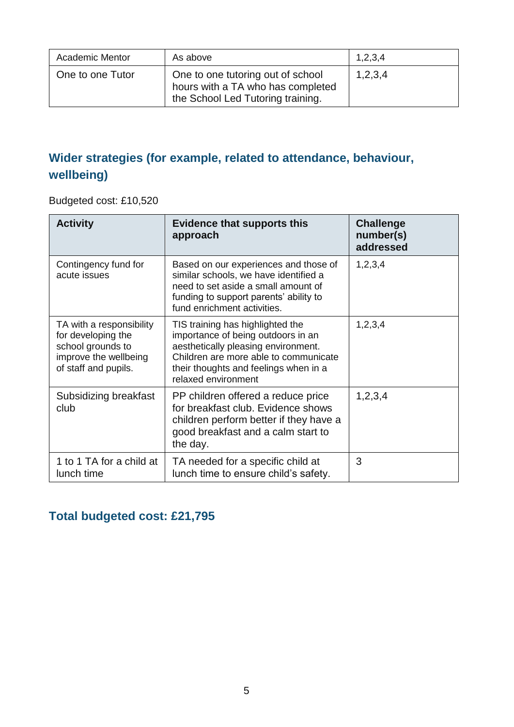| <b>Academic Mentor</b> | As above                                                                                                    | 1,2,3,4 |
|------------------------|-------------------------------------------------------------------------------------------------------------|---------|
| One to one Tutor       | One to one tutoring out of school<br>hours with a TA who has completed<br>the School Led Tutoring training. | 1,2,3,4 |

### **Wider strategies (for example, related to attendance, behaviour, wellbeing)**

Budgeted cost: £10,520

| <b>Activity</b>                                                                                                      | <b>Evidence that supports this</b><br>approach                                                                                                                                                                         | <b>Challenge</b><br>number(s)<br>addressed |
|----------------------------------------------------------------------------------------------------------------------|------------------------------------------------------------------------------------------------------------------------------------------------------------------------------------------------------------------------|--------------------------------------------|
| Contingency fund for<br>acute issues                                                                                 | Based on our experiences and those of<br>similar schools, we have identified a<br>need to set aside a small amount of<br>funding to support parents' ability to<br>fund enrichment activities.                         | 1,2,3,4                                    |
| TA with a responsibility<br>for developing the<br>school grounds to<br>improve the wellbeing<br>of staff and pupils. | TIS training has highlighted the<br>importance of being outdoors in an<br>aesthetically pleasing environment.<br>Children are more able to communicate<br>their thoughts and feelings when in a<br>relaxed environment | 1,2,3,4                                    |
| Subsidizing breakfast<br>club                                                                                        | PP children offered a reduce price<br>for breakfast club. Evidence shows<br>children perform better if they have a<br>good breakfast and a calm start to<br>the day.                                                   | 1,2,3,4                                    |
| 1 to 1 TA for a child at<br>lunch time                                                                               | TA needed for a specific child at<br>lunch time to ensure child's safety.                                                                                                                                              | 3                                          |

### **Total budgeted cost: £21,795**